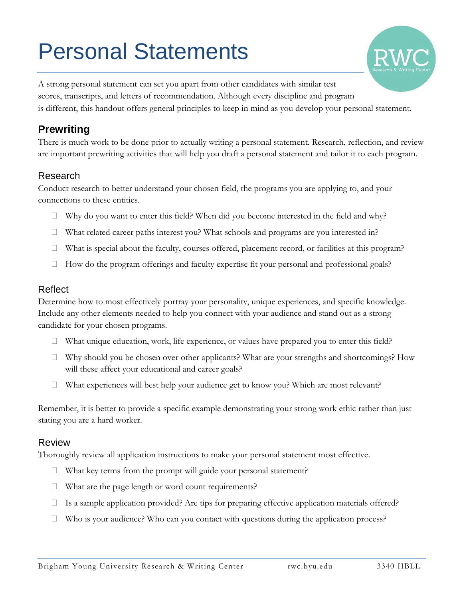# Personal Statements



A strong personal statement can set you apart from other candidates with similar test scores, transcripts, and letters of recommendation. Although every discipline and program is different, this handout offers general principles to keep in mind as you develop your personal statement.

## **Prewriting**

There is much work to be done prior to actually writing a personal statement. Research, reflection, and review are important prewriting activities that will help you draft a personal statement and tailor it to each program.

#### Research

Conduct research to better understand your chosen field, the programs you are applying to, and your connections to these entities.

- $\Box$  Why do you want to enter this field? When did you become interested in the field and why?
- What related career paths interest you? What schools and programs are you interested in?
- $\Box$  What is special about the faculty, courses offered, placement record, or facilities at this program?
- $\Box$  How do the program offerings and faculty expertise fit your personal and professional goals?

#### Reflect

Determine how to most effectively portray your personality, unique experiences, and specific knowledge. Include any other elements needed to help you connect with your audience and stand out as a strong candidate for your chosen programs.

- $\Box$  What unique education, work, life experience, or values have prepared you to enter this field?
- $\Box$  Why should you be chosen over other applicants? What are your strengths and shortcomings? How will these affect your educational and career goals?
- $\Box$  What experiences will best help your audience get to know you? Which are most relevant?

Remember, it is better to provide a specific example demonstrating your strong work ethic rather than just stating you are a hard worker.

#### Review

Thoroughly review all application instructions to make your personal statement most effective.

- $\Box$  What key terms from the prompt will guide your personal statement?
- $\Box$  What are the page length or word count requirements?
- $\Box$  Is a sample application provided? Are tips for preparing effective application materials offered?
- □ Who is your audience? Who can you contact with questions during the application process?